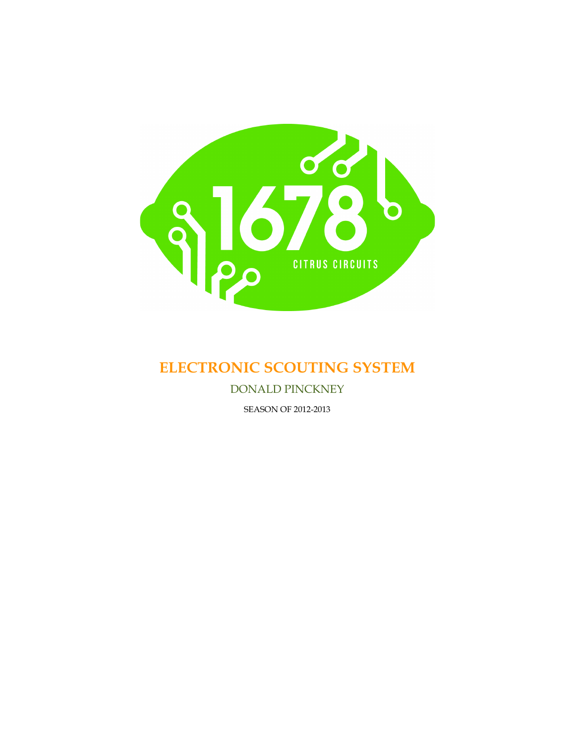

# **ELECTRONIC SCOUTING SYSTEM**

DONALD PINCKNEY

SEASON OF 2012-2013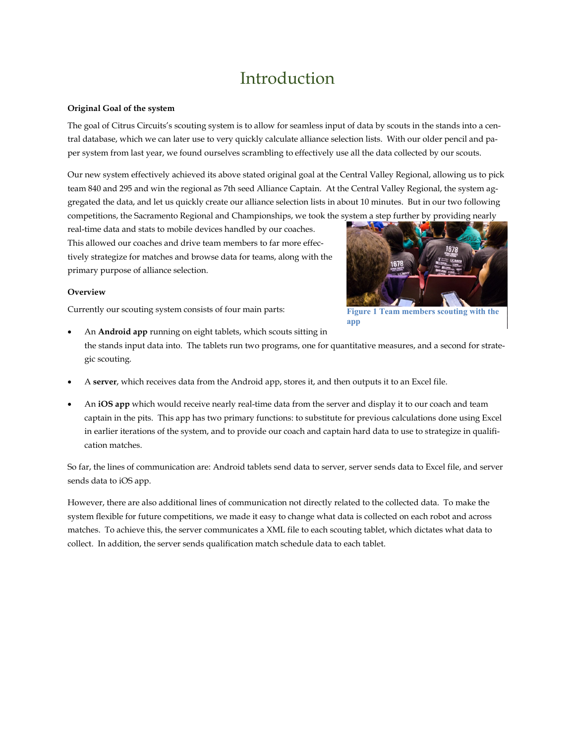# Introduction

#### **Original Goal of the system**

The goal of Citrus Circuits's scouting system is to allow for seamless input of data by scouts in the stands into a central database, which we can later use to very quickly calculate alliance selection lists. With our older pencil and paper system from last year, we found ourselves scrambling to effectively use all the data collected by our scouts.

Our new system effectively achieved its above stated original goal at the Central Valley Regional, allowing us to pick team 840 and 295 and win the regional as 7th seed Alliance Captain. At the Central Valley Regional, the system aggregated the data, and let us quickly create our alliance selection lists in about 10 minutes. But in our two following competitions, the Sacramento Regional and Championships, we took the system a step further by providing nearly

real-time data and stats to mobile devices handled by our coaches. This allowed our coaches and drive team members to far more effectively strategize for matches and browse data for teams, along with the primary purpose of alliance selection.

#### **Overview**

Currently our scouting system consists of four main parts:



**Figure 1 Team members scouting with the app**

- An **Android app** running on eight tablets, which scouts sitting in the stands input data into. The tablets run two programs, one for quantitative measures, and a second for strategic scouting.
- A **server**, which receives data from the Android app, stores it, and then outputs it to an Excel file.
- An **iOS app** which would receive nearly real-time data from the server and display it to our coach and team captain in the pits. This app has two primary functions: to substitute for previous calculations done using Excel in earlier iterations of the system, and to provide our coach and captain hard data to use to strategize in qualification matches.

So far, the lines of communication are: Android tablets send data to server, server sends data to Excel file, and server sends data to iOS app.

However, there are also additional lines of communication not directly related to the collected data. To make the system flexible for future competitions, we made it easy to change what data is collected on each robot and across matches. To achieve this, the server communicates a XML file to each scouting tablet, which dictates what data to collect. In addition, the server sends qualification match schedule data to each tablet.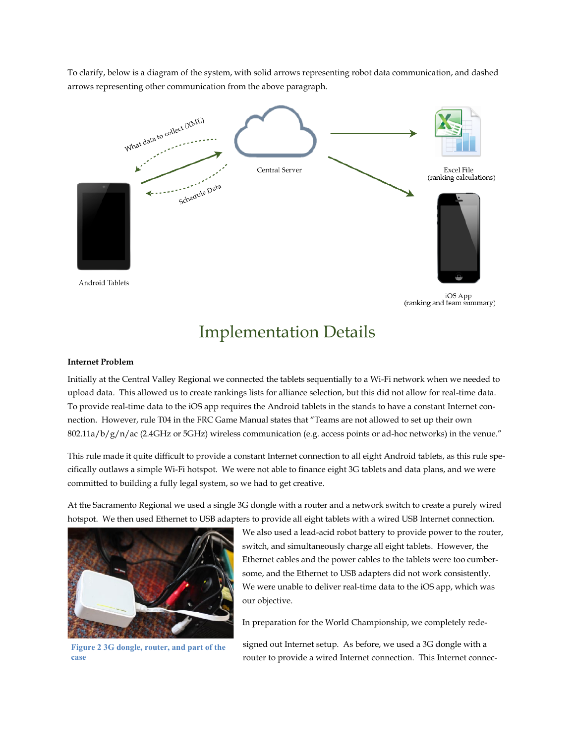To clarify, below is a diagram of the system, with solid arrows representing robot data communication, and dashed arrows representing other communication from the above paragraph.



### Implementation Details

#### **Internet Problem**

Initially at the Central Valley Regional we connected the tablets sequentially to a Wi-Fi network when we needed to upload data. This allowed us to create rankings lists for alliance selection, but this did not allow for real-time data. To provide real-time data to the iOS app requires the Android tablets in the stands to have a constant Internet connection. However, rule T04 in the FRC Game Manual states that "Teams are not allowed to set up their own  $802.11a/b/g/n/ac$  (2.4GHz or 5GHz) wireless communication (e.g. access points or ad-hoc networks) in the venue."

This rule made it quite difficult to provide a constant Internet connection to all eight Android tablets, as this rule specifically outlaws a simple Wi-Fi hotspot. We were not able to finance eight 3G tablets and data plans, and we were committed to building a fully legal system, so we had to get creative.

At the Sacramento Regional we used a single 3G dongle with a router and a network switch to create a purely wired hotspot. We then used Ethernet to USB adapters to provide all eight tablets with a wired USB Internet connection.



**Figure 2 3G dongle, router, and part of the case**

We also used a lead-acid robot battery to provide power to the router, switch, and simultaneously charge all eight tablets. However, the Ethernet cables and the power cables to the tablets were too cumbersome, and the Ethernet to USB adapters did not work consistently. We were unable to deliver real-time data to the iOS app, which was our objective.

In preparation for the World Championship, we completely rede-

signed out Internet setup. As before, we used a 3G dongle with a router to provide a wired Internet connection. This Internet connec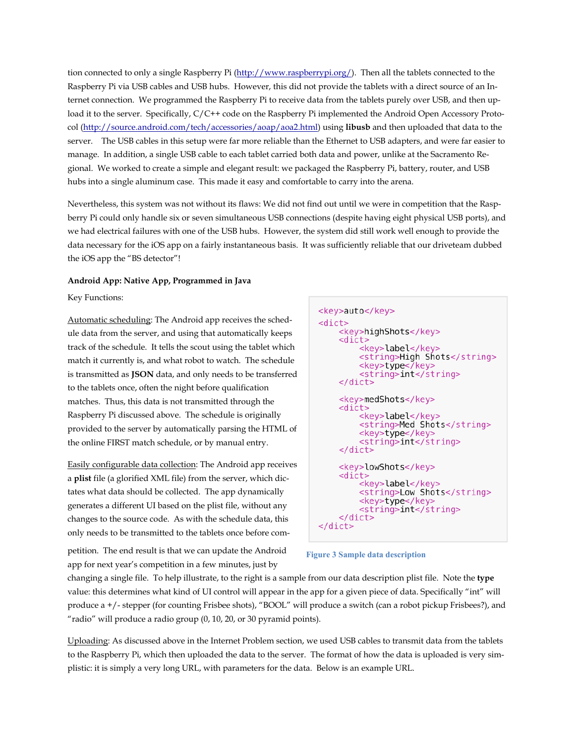tion connected to only a single Raspberry Pi [\(http://www.raspberrypi.org/\)](http://www.raspberrypi.org/). Then all the tablets connected to the Raspberry Pi via USB cables and USB hubs. However, this did not provide the tablets with a direct source of an Internet connection. We programmed the Raspberry Pi to receive data from the tablets purely over USB, and then upload it to the server. Specifically, C/C++ code on the Raspberry Pi implemented the Android Open Accessory Protocol [\(http://source.android.com/tech/accessories/aoap/aoa2.html\)](http://source.android.com/tech/accessories/aoap/aoa2.html) using **libusb** and then uploaded that data to the server. The USB cables in this setup were far more reliable than the Ethernet to USB adapters, and were far easier to manage. In addition, a single USB cable to each tablet carried both data and power, unlike at the Sacramento Regional. We worked to create a simple and elegant result: we packaged the Raspberry Pi, battery, router, and USB hubs into a single aluminum case. This made it easy and comfortable to carry into the arena.

Nevertheless, this system was not without its flaws: We did not find out until we were in competition that the Raspberry Pi could only handle six or seven simultaneous USB connections (despite having eight physical USB ports), and we had electrical failures with one of the USB hubs. However, the system did still work well enough to provide the data necessary for the iOS app on a fairly instantaneous basis. It was sufficiently reliable that our driveteam dubbed the iOS app the "BS detector"!

#### **Android App: Native App, Programmed in Java**

Key Functions:

Automatic scheduling: The Android app receives the schedule data from the server, and using that automatically keeps track of the schedule. It tells the scout using the tablet which match it currently is, and what robot to watch. The schedule is transmitted as **JSON** data, and only needs to be transferred to the tablets once, often the night before qualification matches. Thus, this data is not transmitted through the Raspberry Pi discussed above. The schedule is originally provided to the server by automatically parsing the HTML of the online FIRST match schedule, or by manual entry.

Easily configurable data collection: The Android app receives a **plist** file (a glorified XML file) from the server, which dictates what data should be collected. The app dynamically generates a different UI based on the plist file, without any changes to the source code. As with the schedule data, this only needs to be transmitted to the tablets once before com<key>auto</key>  $<$ dict $>$ <key>highShots</key> <dict> <key>label</key> <string>High Shots</string> <key>type</key> <string>int</string>  $\lt$ /dict> <key>medShots</key> <dict> <key>label</key> <string>Med Shots</string> <key>type</key> <string>int</string>  $\lt$ /dict> <key>lowShots</key> <dict> <key>label</key> <string>Low Shots</string> <key>type</key> <string>int</string>  $\lt$ /dict>  $\lt$ /dict>

petition. The end result is that we can update the Android app for next year's competition in a few minutes, just by

**Figure 3 Sample data description**

changing a single file. To help illustrate, to the right is a sample from our data description plist file. Note the **type** value: this determines what kind of UI control will appear in the app for a given piece of data. Specifically "int" will produce a +/- stepper (for counting Frisbee shots), "BOOL" will produce a switch (can a robot pickup Frisbees?), and "radio" will produce a radio group (0, 10, 20, or 30 pyramid points).

Uploading: As discussed above in the Internet Problem section, we used USB cables to transmit data from the tablets to the Raspberry Pi, which then uploaded the data to the server. The format of how the data is uploaded is very simplistic: it is simply a very long URL, with parameters for the data. Below is an example URL.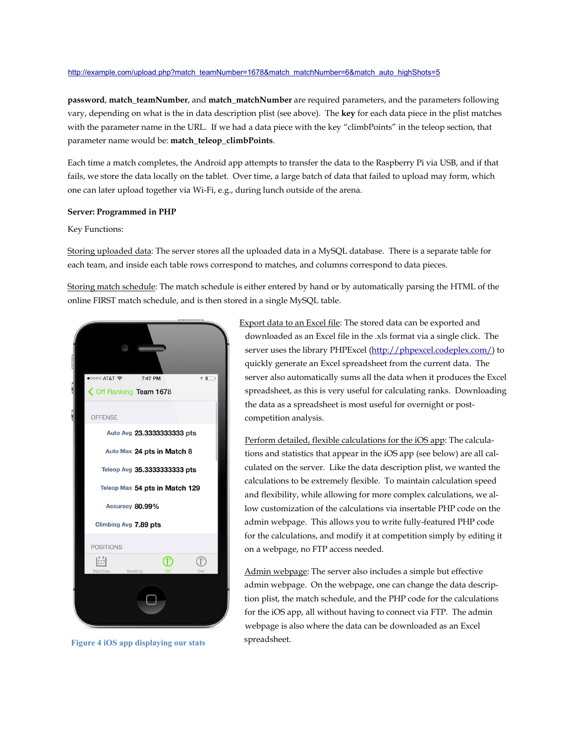#### [http://example.com/upload.php?match\\_teamNumber=1678&match\\_matchNumber=6&match\\_auto\\_highShots=5](http://example.com/upload.php?match_teamNumber=1678&match_matchNumber=6&match_auto_highShots=5)

**password**, **match\_teamNumber**, and **match\_matchNumber** are required parameters, and the parameters following vary, depending on what is the in data description plist (see above). The **key** for each data piece in the plist matches with the parameter name in the URL. If we had a data piece with the key "climbPoints" in the teleop section, that parameter name would be: **match\_teleop\_climbPoints**.

Each time a match completes, the Android app attempts to transfer the data to the Raspberry Pi via USB, and if that fails, we store the data locally on the tablet. Over time, a large batch of data that failed to upload may form, which one can later upload together via Wi-Fi, e.g., during lunch outside of the arena.

#### **Server: Programmed in PHP**

Key Functions:

Storing uploaded data: The server stores all the uploaded data in a MySQL database. There is a separate table for each team, and inside each table rows correspond to matches, and columns correspond to data pieces.

Storing match schedule: The match schedule is either entered by hand or by automatically parsing the HTML of the online FIRST match schedule, and is then stored in a single MySQL table.



**Figure 4 iOS app displaying our stats**

Export data to an Excel file: The stored data can be exported and downloaded as an Excel file in the .xls format via a single click. The server uses the library PHPExcel [\(http://phpexcel.codeplex.com/\)](http://phpexcel.codeplex.com/) to quickly generate an Excel spreadsheet from the current data. The server also automatically sums all the data when it produces the Excel spreadsheet, as this is very useful for calculating ranks. Downloading the data as a spreadsheet is most useful for overnight or postcompetition analysis.

Perform detailed, flexible calculations for the iOS app: The calculations and statistics that appear in the iOS app (see below) are all calculated on the server. Like the data description plist, we wanted the calculations to be extremely flexible. To maintain calculation speed and flexibility, while allowing for more complex calculations, we allow customization of the calculations via insertable PHP code on the admin webpage. This allows you to write fully-featured PHP code for the calculations, and modify it at competition simply by editing it on a webpage, no FTP access needed.

Admin webpage: The server also includes a simple but effective admin webpage. On the webpage, one can change the data description plist, the match schedule, and the PHP code for the calculations for the iOS app, all without having to connect via FTP. The admin webpage is also where the data can be downloaded as an Excel spreadsheet.